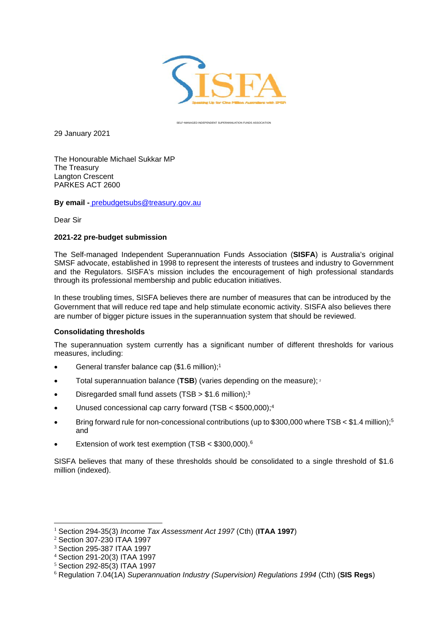

SELF-MANAGED INDEPENDENT SUPERANNUATION FUNDS ASSOCIATION

29 January 2021

The Honourable Michael Sukkar MP The Treasury Langton Crescent PARKES ACT 2600

**By email -** [prebudgetsubs@treasury.gov.au](mailto:prebudgetsubs@treasury.gov.au)

Dear Sir

#### **2021-22 pre-budget submission**

The Self-managed Independent Superannuation Funds Association (**SISFA**) is Australia's original SMSF advocate, established in 1998 to represent the interests of trustees and industry to Government and the Regulators. SISFA's mission includes the encouragement of high professional standards through its professional membership and public education initiatives.

In these troubling times, SISFA believes there are number of measures that can be introduced by the Government that will reduce red tape and help stimulate economic activity. SISFA also believes there are number of bigger picture issues in the superannuation system that should be reviewed.

## **Consolidating thresholds**

The superannuation system currently has a significant number of different thresholds for various measures, including:

- General transfer balance cap (\$1.6 million);<sup>1</sup>
- Total superannuation balance (**TSB**) (varies depending on the measure); <sup>2</sup>
- Disregarded small fund assets (TSB  $> $1.6$  million);<sup>3</sup>
- Unused concessional cap carry forward (TSB < \$500,000);<sup>4</sup>
- Bring forward rule for non-concessional contributions (up to \$300,000 where TSB < \$1.4 million);<sup>5</sup> and
- **Extension of work test exemption (TSB < \$300,000).**<sup>6</sup>

SISFA believes that many of these thresholds should be consolidated to a single threshold of \$1.6 million (indexed).

<sup>1</sup> Section 294-35(3) *Income Tax Assessment Act 1997* (Cth) (**ITAA 1997**)

<sup>2</sup> Section 307-230 ITAA 1997

<sup>3</sup> Section 295-387 ITAA 1997

<sup>4</sup> Section 291-20(3) ITAA 1997

<sup>5</sup> Section 292-85(3) ITAA 1997

<sup>6</sup> Regulation 7.04(1A) *Superannuation Industry (Supervision) Regulations 1994* (Cth) (**SIS Regs**)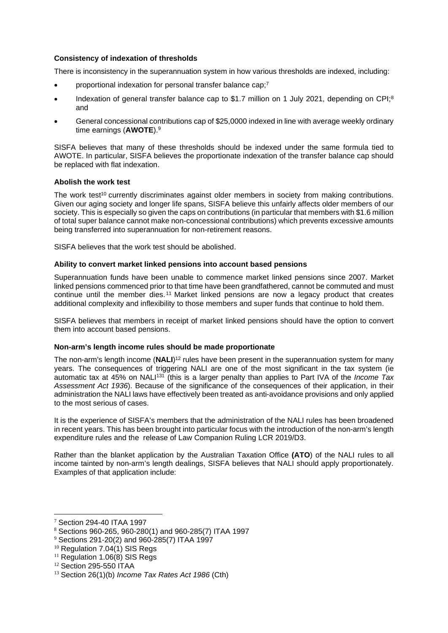# **Consistency of indexation of thresholds**

There is inconsistency in the superannuation system in how various thresholds are indexed, including:

- proportional indexation for personal transfer balance cap;<sup>7</sup>
- Indexation of general transfer balance cap to \$1.7 million on 1 July 2021, depending on CPI;<sup>8</sup> and
- General concessional contributions cap of \$25,0000 indexed in line with average weekly ordinary time earnings (**AWOTE**).<sup>9</sup>

SISFA believes that many of these thresholds should be indexed under the same formula tied to AWOTE. In particular, SISFA believes the proportionate indexation of the transfer balance cap should be replaced with flat indexation.

#### **Abolish the work test**

The work test<sup>10</sup> currently discriminates against older members in society from making contributions. Given our aging society and longer life spans, SISFA believe this unfairly affects older members of our society. This is especially so given the caps on contributions (in particular that members with \$1.6 million of total super balance cannot make non-concessional contributions) which prevents excessive amounts being transferred into superannuation for non-retirement reasons.

SISFA believes that the work test should be abolished.

## **Ability to convert market linked pensions into account based pensions**

Superannuation funds have been unable to commence market linked pensions since 2007. Market linked pensions commenced prior to that time have been grandfathered, cannot be commuted and must continue until the member dies. <sup>11</sup> Market linked pensions are now a legacy product that creates additional complexity and inflexibility to those members and super funds that continue to hold them.

SISFA believes that members in receipt of market linked pensions should have the option to convert them into account based pensions.

## **Non-arm's length income rules should be made proportionate**

The non-arm's length income (NALI)<sup>12</sup> rules have been present in the superannuation system for many years. The consequences of triggering NALI are one of the most significant in the tax system (ie automatic tax at 45% on NALI<sup>131</sup> (this is a larger penalty than applies to Part IVA of the *Income Tax Assessment Act 1936*). Because of the significance of the consequences of their application, in their administration the NALI laws have effectively been treated as anti-avoidance provisions and only applied to the most serious of cases.

It is the experience of SISFA's members that the administration of the NALI rules has been broadened in recent years. This has been brought into particular focus with the introduction of the non-arm's length expenditure rules and the release of Law Companion Ruling LCR 2019/D3.

Rather than the blanket application by the Australian Taxation Office **(ATO**) of the NALI rules to all income tainted by non-arm's length dealings, SISFA believes that NALI should apply proportionately. Examples of that application include:

<sup>7</sup> Section 294-40 ITAA 1997

<sup>8</sup> Sections 960-265, 960-280(1) and 960-285(7) ITAA 1997

<sup>9</sup> Sections 291-20(2) and 960-285(7) ITAA 1997

 $10$  Regulation 7.04(1) SIS Regs

 $11$  Regulation 1.06(8) SIS Regs

<sup>12</sup> Section 295-550 ITAA

<sup>13</sup> Section 26(1)(b) *Income Tax Rates Act 1986* (Cth)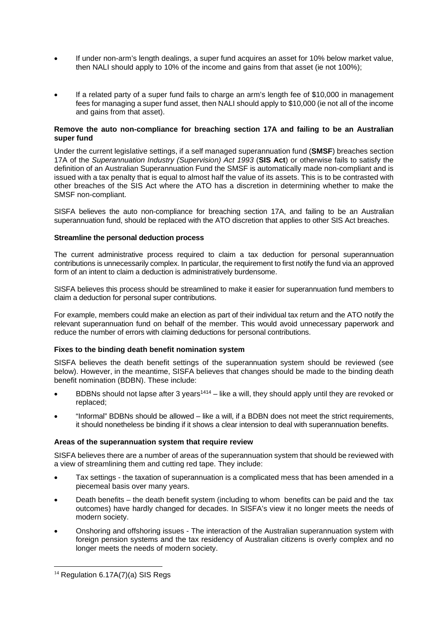- If under non-arm's length dealings, a super fund acquires an asset for 10% below market value, then NALI should apply to 10% of the income and gains from that asset (ie not 100%);
- If a related party of a super fund fails to charge an arm's length fee of \$10,000 in management fees for managing a super fund asset, then NALI should apply to \$10,000 (ie not all of the income and gains from that asset).

#### **Remove the auto non-compliance for breaching section 17A and failing to be an Australian super fund**

Under the current legislative settings, if a self managed superannuation fund (**SMSF**) breaches section 17A of the *Superannuation Industry (Supervision) Act 1993* (**SIS Act**) or otherwise fails to satisfy the definition of an Australian Superannuation Fund the SMSF is automatically made non-compliant and is issued with a tax penalty that is equal to almost half the value of its assets. This is to be contrasted with other breaches of the SIS Act where the ATO has a discretion in determining whether to make the SMSF non-compliant.

SISFA believes the auto non-compliance for breaching section 17A, and failing to be an Australian superannuation fund, should be replaced with the ATO discretion that applies to other SIS Act breaches.

#### **Streamline the personal deduction process**

The current administrative process required to claim a tax deduction for personal superannuation contributions is unnecessarily complex. In particular, the requirement to first notify the fund via an approved form of an intent to claim a deduction is administratively burdensome.

SISFA believes this process should be streamlined to make it easier for superannuation fund members to claim a deduction for personal super contributions.

For example, members could make an election as part of their individual tax return and the ATO notify the relevant superannuation fund on behalf of the member. This would avoid unnecessary paperwork and reduce the number of errors with claiming deductions for personal contributions.

## **Fixes to the binding death benefit nomination system**

SISFA believes the death benefit settings of the superannuation system should be reviewed (see below). However, in the meantime, SISFA believes that changes should be made to the binding death benefit nomination (BDBN). These include:

- BDBNs should not lapse after 3 years<sup>1414</sup> like a will, they should apply until they are revoked or replaced;
- "Informal" BDBNs should be allowed like a will, if a BDBN does not meet the strict requirements, it should nonetheless be binding if it shows a clear intension to deal with superannuation benefits.

### **Areas of the superannuation system that require review**

SISFA believes there are a number of areas of the superannuation system that should be reviewed with a view of streamlining them and cutting red tape. They include:

- Tax settings the taxation of superannuation is a complicated mess that has been amended in a piecemeal basis over many years.
- Death benefits the death benefit system (including to whom benefits can be paid and the tax outcomes) have hardly changed for decades. In SISFA's view it no longer meets the needs of modern society.
- Onshoring and offshoring issues The interaction of the Australian superannuation system with foreign pension systems and the tax residency of Australian citizens is overly complex and no longer meets the needs of modern society.

<sup>&</sup>lt;sup>14</sup> Regulation 6.17A(7)(a) SIS Regs